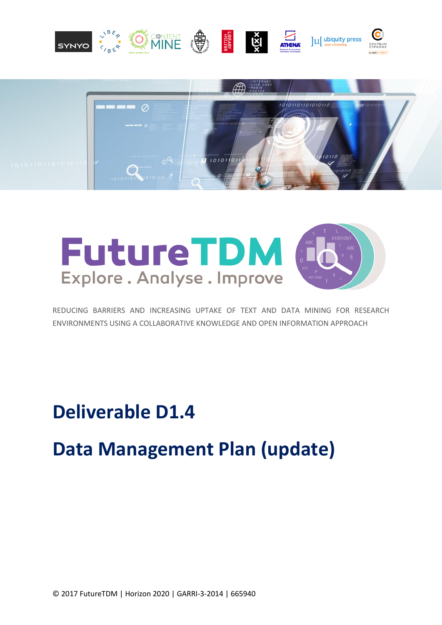





REDUCING BARRIERS AND INCREASING UPTAKE OF TEXT AND DATA MINING FOR RESEARCH ENVIRONMENTS USING A COLLABORATIVE KNOWLEDGE AND OPEN INFORMATION APPROACH

**Deliverable D1.4**

# **Data Management Plan (update)**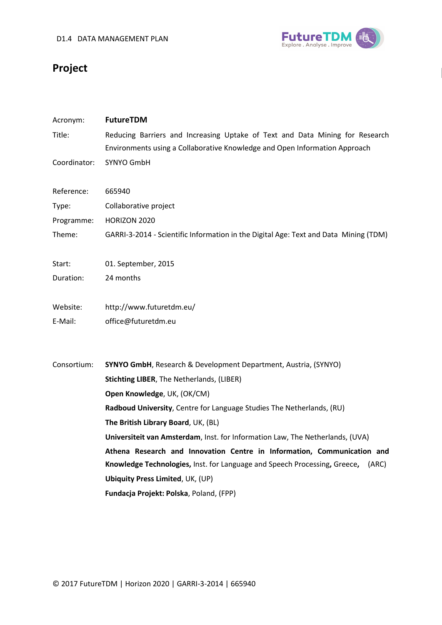

## **Project**

| Acronym:     | FutureTDM                                                                            |
|--------------|--------------------------------------------------------------------------------------|
| Title:       | Reducing Barriers and Increasing Uptake of Text and Data Mining for Research         |
|              | Environments using a Collaborative Knowledge and Open Information Approach           |
| Coordinator: | SYNYO GmbH                                                                           |
| Reference:   | 665940                                                                               |
| Type:        | Collaborative project                                                                |
| Programme:   | <b>HORIZON 2020</b>                                                                  |
| Theme:       | GARRI-3-2014 - Scientific Information in the Digital Age: Text and Data Mining (TDM) |
| Start:       | 01. September, 2015                                                                  |
| Duration:    | 24 months                                                                            |
| Website:     | http://www.futuretdm.eu/                                                             |
| E-Mail:      | office@futuretdm.eu                                                                  |
| Consortium:  | SYNYO GmbH, Research & Development Department, Austria, (SYNYO)                      |
|              | Stichting LIBER, The Netherlands, (LIBER)                                            |
|              | Open Knowledge, UK, (OK/CM)                                                          |
|              | Radboud University, Centre for Language Studies The Netherlands, (RU)                |
|              | The British Library Board, UK, (BL)                                                  |
|              | Universiteit van Amsterdam, Inst. for Information Law, The Netherlands, (UVA)        |
|              | Athena Research and Innovation Centre in Information, Communication and              |
|              | Knowledge Technologies, Inst. for Language and Speech Processing, Greece, (ARC)      |
|              | <b>Ubiquity Press Limited, UK, (UP)</b>                                              |
|              | Fundacja Projekt: Polska, Poland, (FPP)                                              |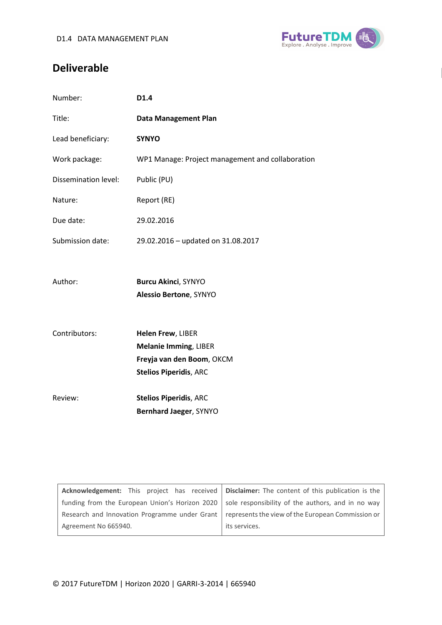

### **Deliverable**

| Number:              | D1.4                                             |
|----------------------|--------------------------------------------------|
| Title:               | <b>Data Management Plan</b>                      |
| Lead beneficiary:    | <b>SYNYO</b>                                     |
| Work package:        | WP1 Manage: Project management and collaboration |
| Dissemination level: | Public (PU)                                      |
| Nature:              | Report (RE)                                      |
| Due date:            | 29.02.2016                                       |
| Submission date:     | 29.02.2016 - updated on 31.08.2017               |
|                      |                                                  |
| Author:              | <b>Burcu Akinci, SYNYO</b>                       |
|                      | <b>Alessio Bertone, SYNYO</b>                    |
|                      |                                                  |
| Contributors:        | Helen Frew, LIBER                                |
|                      | <b>Melanie Imming, LIBER</b>                     |
|                      | Freyja van den Boom, OKCM                        |
|                      | <b>Stelios Piperidis, ARC</b>                    |
| Review:              | <b>Stelios Piperidis, ARC</b>                    |
|                      | Bernhard Jaeger, SYNYO                           |
|                      |                                                  |

|                                                                                                   |  |  | Acknowledgement: This project has received   Disclaimer: The content of this publication is the    |
|---------------------------------------------------------------------------------------------------|--|--|----------------------------------------------------------------------------------------------------|
|                                                                                                   |  |  | funding from the European Union's Horizon 2020   sole responsibility of the authors, and in no way |
| Research and Innovation Programme under Grant   represents the view of the European Commission or |  |  |                                                                                                    |
| Agreement No 665940.                                                                              |  |  | its services.                                                                                      |
|                                                                                                   |  |  |                                                                                                    |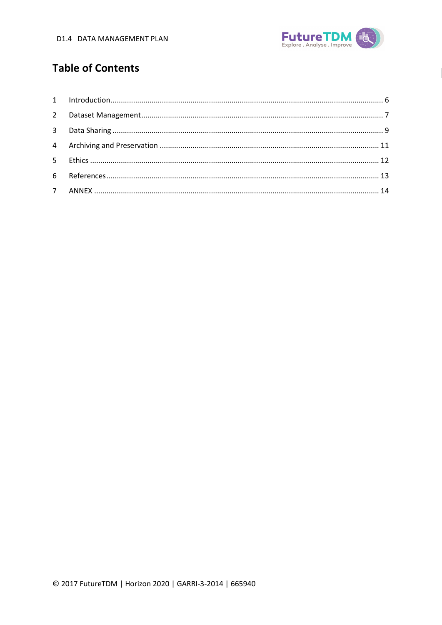

### **Table of Contents**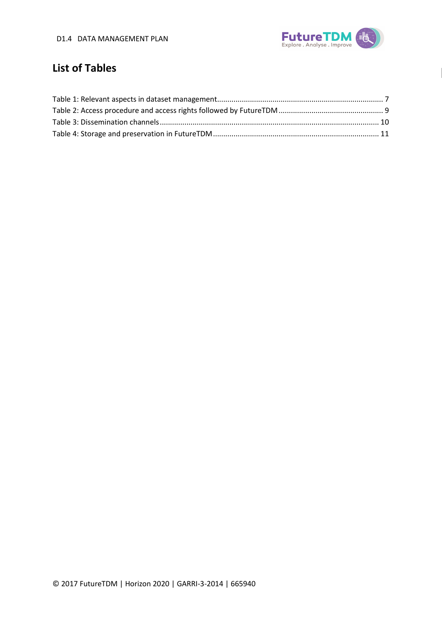

### **List of Tables**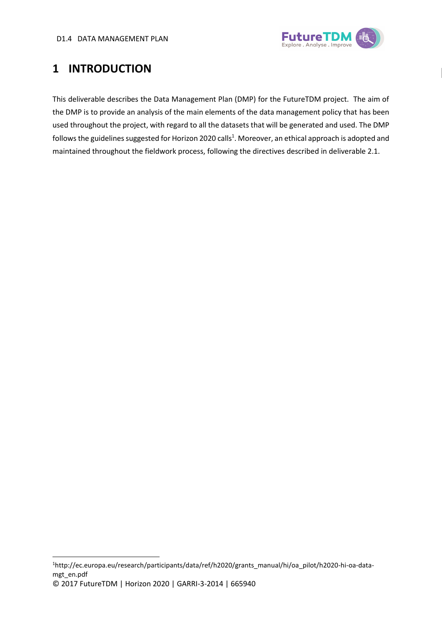

# <span id="page-5-0"></span>**1 INTRODUCTION**

This deliverable describes the Data Management Plan (DMP) for the FutureTDM project. The aim of the DMP is to provide an analysis of the main elements of the data management policy that has been used throughout the project, with regard to all the datasets that will be generated and used. The DMP follows the guidelines suggested for Horizon 2020 calls<sup>1</sup>. Moreover, an ethical approach is adopted and maintained throughout the fieldwork process, following the directives described in deliverable 2.1.

© 2017 FutureTDM | Horizon 2020 | GARRI-3-2014 | 665940 **.** 1http://ec.europa.eu/research/participants/data/ref/h2020/grants\_manual/hi/oa\_pilot/h2020-hi-oa-datamgt\_en.pdf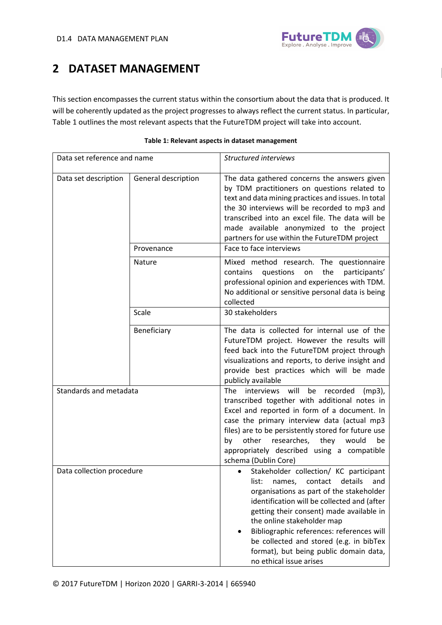

### <span id="page-6-0"></span>**2 DATASET MANAGEMENT**

This section encompasses the current status within the consortium about the data that is produced. It will be coherently updated as the project progresses to always reflect the current status. In particular, [Table 1](#page-6-1) outlines the most relevant aspects that the FutureTDM project will take into account.

<span id="page-6-1"></span>

| Data set reference and name |                     | <b>Structured interviews</b>                                                                                                                                                                                                                                                                                                                                                                                             |
|-----------------------------|---------------------|--------------------------------------------------------------------------------------------------------------------------------------------------------------------------------------------------------------------------------------------------------------------------------------------------------------------------------------------------------------------------------------------------------------------------|
| Data set description        | General description | The data gathered concerns the answers given<br>by TDM practitioners on questions related to<br>text and data mining practices and issues. In total<br>the 30 interviews will be recorded to mp3 and<br>transcribed into an excel file. The data will be<br>made available anonymized to the project<br>partners for use within the FutureTDM project                                                                    |
|                             | Provenance          | Face to face interviews                                                                                                                                                                                                                                                                                                                                                                                                  |
|                             | Nature              | Mixed method research. The questionnaire<br>contains<br>questions<br>the<br>participants'<br>on<br>professional opinion and experiences with TDM.<br>No additional or sensitive personal data is being<br>collected                                                                                                                                                                                                      |
|                             | Scale               | 30 stakeholders                                                                                                                                                                                                                                                                                                                                                                                                          |
|                             | Beneficiary         | The data is collected for internal use of the<br>FutureTDM project. However the results will<br>feed back into the FutureTDM project through<br>visualizations and reports, to derive insight and<br>provide best practices which will be made<br>publicly available                                                                                                                                                     |
| Standards and metadata      |                     | will<br>interviews<br>be<br>recorded<br>The<br>$(mp3)$ ,<br>transcribed together with additional notes in<br>Excel and reported in form of a document. In<br>case the primary interview data (actual mp3<br>files) are to be persistently stored for future use<br>other<br>researches, they<br>would<br>be<br>by<br>appropriately described using a compatible<br>schema (Dublin Core)                                  |
| Data collection procedure   |                     | Stakeholder collection/ KC participant<br>details<br>list:<br>contact<br>names,<br>and<br>organisations as part of the stakeholder<br>identification will be collected and (after<br>getting their consent) made available in<br>the online stakeholder map<br>Bibliographic references: references will<br>be collected and stored (e.g. in bibTex<br>format), but being public domain data,<br>no ethical issue arises |

| Table 1: Relevant aspects in dataset management |  |  |  |  |  |  |  |
|-------------------------------------------------|--|--|--|--|--|--|--|
|-------------------------------------------------|--|--|--|--|--|--|--|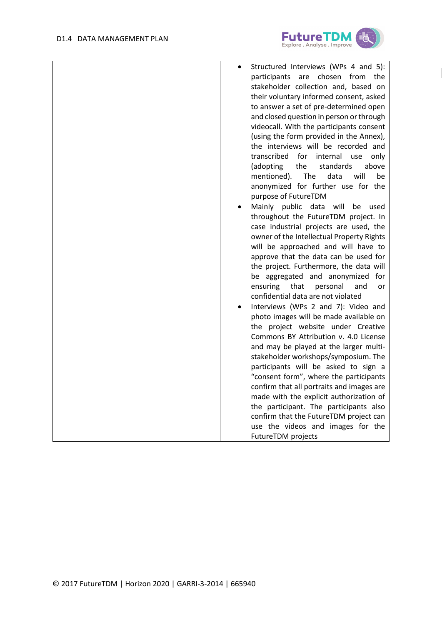

| Structured Interviews (WPs 4 and 5):                                                |
|-------------------------------------------------------------------------------------|
| participants are chosen from<br>the                                                 |
| stakeholder collection and, based on                                                |
| their voluntary informed consent, asked                                             |
| to answer a set of pre-determined open                                              |
| and closed question in person or through                                            |
| videocall. With the participants consent<br>(using the form provided in the Annex), |
| the interviews will be recorded and                                                 |
| transcribed<br>internal<br>for<br>use<br>only                                       |
| (adopting<br>the<br>standards<br>above                                              |
| mentioned).<br>will<br><b>The</b><br>data<br>be                                     |
| anonymized for further use for the                                                  |
| purpose of FutureTDM                                                                |
| Mainly public<br>data will<br>be<br>used                                            |
| throughout the FutureTDM project. In                                                |
| case industrial projects are used, the                                              |
| owner of the Intellectual Property Rights                                           |
| will be approached and will have to                                                 |
| approve that the data can be used for                                               |
| the project. Furthermore, the data will                                             |
| be aggregated and anonymized<br>for                                                 |
| ensuring<br>that<br>personal<br>and<br>or                                           |
| confidential data are not violated                                                  |
| Interviews (WPs 2 and 7): Video and                                                 |
| photo images will be made available on                                              |
| the project website under Creative                                                  |
| Commons BY Attribution v. 4.0 License                                               |
| and may be played at the larger multi-                                              |
| stakeholder workshops/symposium. The                                                |
| participants will be asked to sign a                                                |
| "consent form", where the participants                                              |
| confirm that all portraits and images are                                           |
| made with the explicit authorization of                                             |
| the participant. The participants also                                              |
| confirm that the FutureTDM project can                                              |
| use the videos and images for the                                                   |
| FutureTDM projects                                                                  |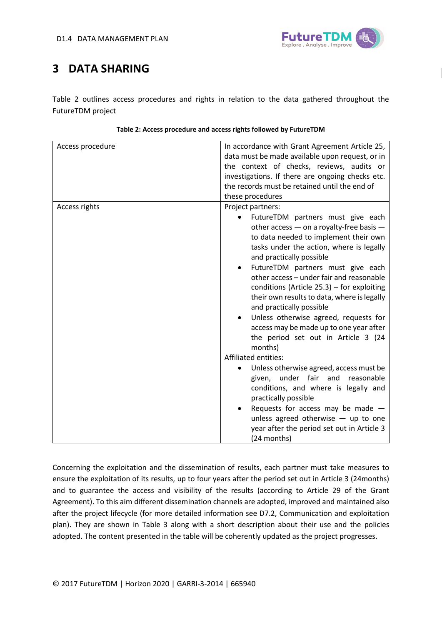

# <span id="page-8-0"></span>**3 DATA SHARING**

[Table 2](#page-8-1) outlines access procedures and rights in relation to the data gathered throughout the FutureTDM project

<span id="page-8-1"></span>

| Access procedure | In accordance with Grant Agreement Article 25,<br>data must be made available upon request, or in<br>the context of checks, reviews, audits or<br>investigations. If there are ongoing checks etc.<br>the records must be retained until the end of<br>these procedures                                                                                                                                                                                                                                                                                                                                                                                                                                                                                                                                                                                                                                                           |
|------------------|-----------------------------------------------------------------------------------------------------------------------------------------------------------------------------------------------------------------------------------------------------------------------------------------------------------------------------------------------------------------------------------------------------------------------------------------------------------------------------------------------------------------------------------------------------------------------------------------------------------------------------------------------------------------------------------------------------------------------------------------------------------------------------------------------------------------------------------------------------------------------------------------------------------------------------------|
| Access rights    | Project partners:<br>FutureTDM partners must give each<br>other access - on a royalty-free basis -<br>to data needed to implement their own<br>tasks under the action, where is legally<br>and practically possible<br>FutureTDM partners must give each<br>$\bullet$<br>other access - under fair and reasonable<br>conditions (Article $25.3$ ) – for exploiting<br>their own results to data, where is legally<br>and practically possible<br>Unless otherwise agreed, requests for<br>$\bullet$<br>access may be made up to one year after<br>the period set out in Article 3 (24<br>months)<br><b>Affiliated entities:</b><br>Unless otherwise agreed, access must be<br>under fair and<br>reasonable<br>given,<br>conditions, and where is legally and<br>practically possible<br>Requests for access may be made $-$<br>unless agreed otherwise $-$ up to one<br>year after the period set out in Article 3<br>(24 months) |

#### **Table 2: Access procedure and access rights followed by FutureTDM**

Concerning the exploitation and the dissemination of results, each partner must take measures to ensure the exploitation of its results, up to four years after the period set out in Article 3 (24months) and to guarantee the access and visibility of the results (according to Article 29 of the Grant Agreement). To this aim different dissemination channels are adopted, improved and maintained also after the project lifecycle (for more detailed information see D7.2, Communication and exploitation plan). They are shown in [Table 3](#page-9-0) along with a short description about their use and the policies adopted. The content presented in the table will be coherently updated as the project progresses.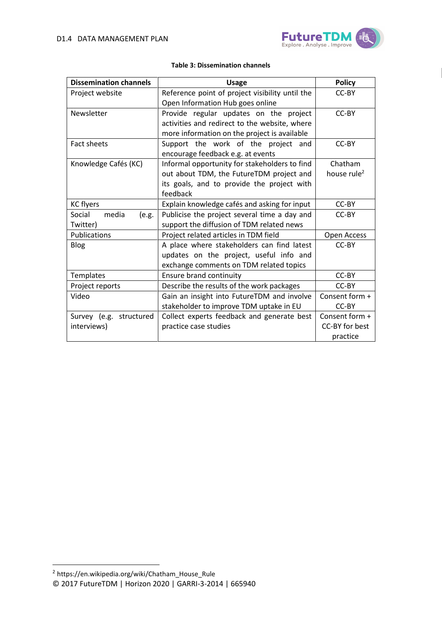

<span id="page-9-0"></span>

| <b>Dissemination channels</b> | <b>Usage</b>                                    | <b>Policy</b>           |
|-------------------------------|-------------------------------------------------|-------------------------|
| Project website               | Reference point of project visibility until the | CC-BY                   |
|                               | Open Information Hub goes online                |                         |
| Newsletter                    | Provide regular updates on the project          | CC-BY                   |
|                               | activities and redirect to the website, where   |                         |
|                               | more information on the project is available    |                         |
| <b>Fact sheets</b>            | Support the work of the project and             | CC-BY                   |
|                               | encourage feedback e.g. at events               |                         |
| Knowledge Cafés (KC)          | Informal opportunity for stakeholders to find   | Chatham                 |
|                               | out about TDM, the FutureTDM project and        | house rule <sup>2</sup> |
|                               | its goals, and to provide the project with      |                         |
|                               | feedback                                        |                         |
| <b>KC</b> flyers              | Explain knowledge cafés and asking for input    | CC-BY                   |
| media<br>Social<br>(e.g.      | Publicise the project several time a day and    | CC-BY                   |
| Twitter)                      | support the diffusion of TDM related news       |                         |
| Publications                  | Project related articles in TDM field           | Open Access             |
| <b>Blog</b>                   | A place where stakeholders can find latest      | CC-BY                   |
|                               | updates on the project, useful info and         |                         |
|                               | exchange comments on TDM related topics         |                         |
| Templates                     | <b>Ensure brand continuity</b>                  | CC-BY                   |
| Project reports               | Describe the results of the work packages       | CC-BY                   |
| Video                         | Gain an insight into FutureTDM and involve      | Consent form +          |
|                               | stakeholder to improve TDM uptake in EU         | CC-BY                   |
| Survey (e.g. structured       | Collect experts feedback and generate best      | Consent form +          |
| interviews)                   | practice case studies                           | CC-BY for best          |
|                               |                                                 | practice                |

#### **Table 3: Dissemination channels**

**.** 

<sup>©</sup> 2017 FutureTDM | Horizon 2020 | GARRI-3-2014 | 665940 2 https://en.wikipedia.org/wiki/Chatham\_House\_Rule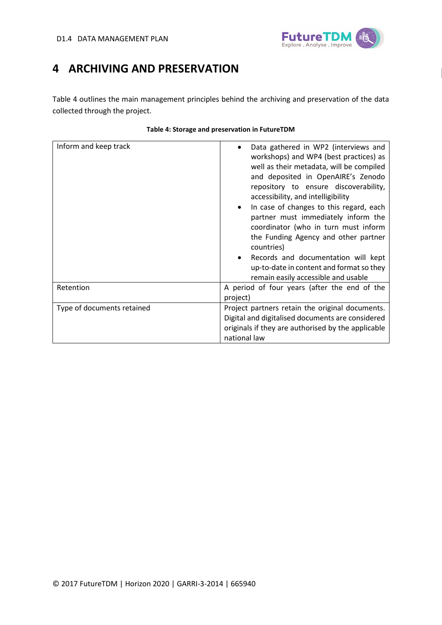

### <span id="page-10-0"></span>**4 ARCHIVING AND PRESERVATION**

[Table 4](#page-10-1) outlines the main management principles behind the archiving and preservation of the data collected through the project.

<span id="page-10-1"></span>

| Inform and keep track                                                                                                                                                                                   | Data gathered in WP2 (interviews and<br>workshops) and WP4 (best practices) as<br>well as their metadata, will be compiled<br>and deposited in OpenAIRE's Zenodo<br>repository to ensure discoverability,<br>accessibility, and intelligibility<br>In case of changes to this regard, each<br>partner must immediately inform the<br>coordinator (who in turn must inform<br>the Funding Agency and other partner<br>countries)<br>Records and documentation will kept<br>up-to-date in content and format so they<br>remain easily accessible and usable |
|---------------------------------------------------------------------------------------------------------------------------------------------------------------------------------------------------------|-----------------------------------------------------------------------------------------------------------------------------------------------------------------------------------------------------------------------------------------------------------------------------------------------------------------------------------------------------------------------------------------------------------------------------------------------------------------------------------------------------------------------------------------------------------|
| Retention                                                                                                                                                                                               | A period of four years (after the end of the<br>project)                                                                                                                                                                                                                                                                                                                                                                                                                                                                                                  |
| Type of documents retained<br>Project partners retain the original documents.<br>Digital and digitalised documents are considered<br>originals if they are authorised by the applicable<br>national law |                                                                                                                                                                                                                                                                                                                                                                                                                                                                                                                                                           |

#### **Table 4: Storage and preservation in FutureTDM**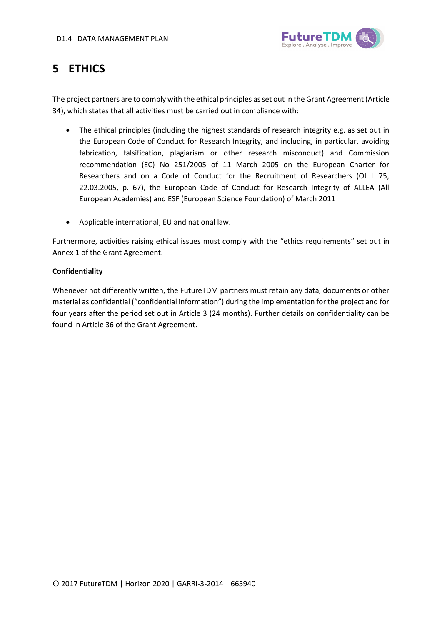

## <span id="page-11-0"></span>**5 ETHICS**

The project partners are to comply with the ethical principles as set out in the Grant Agreement (Article 34), which states that all activities must be carried out in compliance with:

- The ethical principles (including the highest standards of research integrity e.g. as set out in the European Code of Conduct for Research Integrity, and including, in particular, avoiding fabrication, falsification, plagiarism or other research misconduct) and Commission recommendation (EC) No 251/2005 of 11 March 2005 on the European Charter for Researchers and on a Code of Conduct for the Recruitment of Researchers (OJ L 75, 22.03.2005, p. 67), the European Code of Conduct for Research Integrity of ALLEA (All European Academies) and ESF (European Science Foundation) of March 2011
- Applicable international, EU and national law.

Furthermore, activities raising ethical issues must comply with the "ethics requirements" set out in Annex 1 of the Grant Agreement.

#### **Confidentiality**

Whenever not differently written, the FutureTDM partners must retain any data, documents or other material as confidential ("confidential information") during the implementation for the project and for four years after the period set out in Article 3 (24 months). Further details on confidentiality can be found in Article 36 of the Grant Agreement.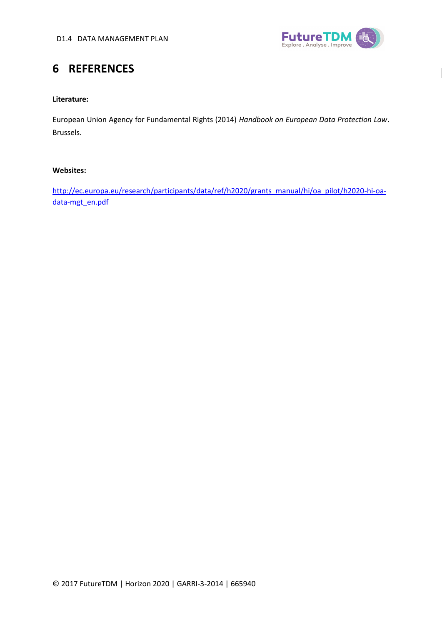

# <span id="page-12-0"></span>**6 REFERENCES**

#### **Literature:**

European Union Agency for Fundamental Rights (2014) *Handbook on European Data Protection Law*. Brussels.

#### **Websites:**

[http://ec.europa.eu/research/participants/data/ref/h2020/grants\\_manual/hi/oa\\_pilot/h2020-hi-oa](http://ec.europa.eu/research/participants/data/ref/h2020/grants_manual/hi/oa_pilot/h2020-hi-oa-data-mgt_en.pdf)[data-mgt\\_en.pdf](http://ec.europa.eu/research/participants/data/ref/h2020/grants_manual/hi/oa_pilot/h2020-hi-oa-data-mgt_en.pdf)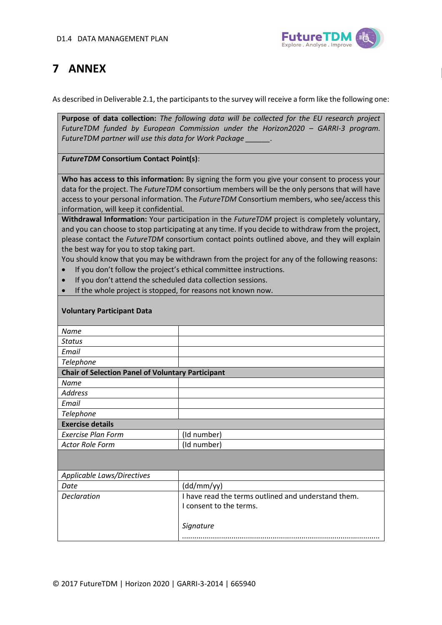

## <span id="page-13-0"></span>**7 ANNEX**

As described in Deliverable 2.1, the participants to the survey will receive a form like the following one:

**Purpose of data collection:** *The following data will be collected for the EU research project FutureTDM funded by European Commission under the Horizon2020 – GARRI-3 program. FutureTDM partner will use this data for Work Package \_\_\_\_\_\_.*

*FutureTDM* **Consortium Contact Point(s)**:

**Who has access to this information:** By signing the form you give your consent to process your data for the project. The *FutureTDM* consortium members will be the only persons that will have access to your personal information. The *FutureTDM* Consortium members, who see/access this information, will keep it confidential.

**Withdrawal Information:** Your participation in the *FutureTDM* project is completely voluntary, and you can choose to stop participating at any time. If you decide to withdraw from the project, please contact the *FutureTDM* consortium contact points outlined above, and they will explain the best way for you to stop taking part.

You should know that you may be withdrawn from the project for any of the following reasons:

- If you don't follow the project's ethical committee instructions.
- If you don't attend the scheduled data collection sessions.
- If the whole project is stopped, for reasons not known now.

| <b>Voluntary Participant Data</b>                        |                                                     |
|----------------------------------------------------------|-----------------------------------------------------|
| <b>Name</b>                                              |                                                     |
| <b>Status</b>                                            |                                                     |
| Email                                                    |                                                     |
| Telephone                                                |                                                     |
| <b>Chair of Selection Panel of Voluntary Participant</b> |                                                     |
| Name                                                     |                                                     |
| <b>Address</b>                                           |                                                     |
| Email                                                    |                                                     |
| Telephone                                                |                                                     |
| <b>Exercise details</b>                                  |                                                     |
| <b>Exercise Plan Form</b>                                | (Id number)                                         |
| <b>Actor Role Form</b>                                   | (Id number)                                         |
|                                                          |                                                     |
| Applicable Laws/Directives                               |                                                     |
| Date                                                     | (dd/mm/yy)                                          |
| <b>Declaration</b>                                       | I have read the terms outlined and understand them. |
|                                                          | I consent to the terms.                             |
|                                                          |                                                     |
|                                                          | Signature                                           |
|                                                          |                                                     |